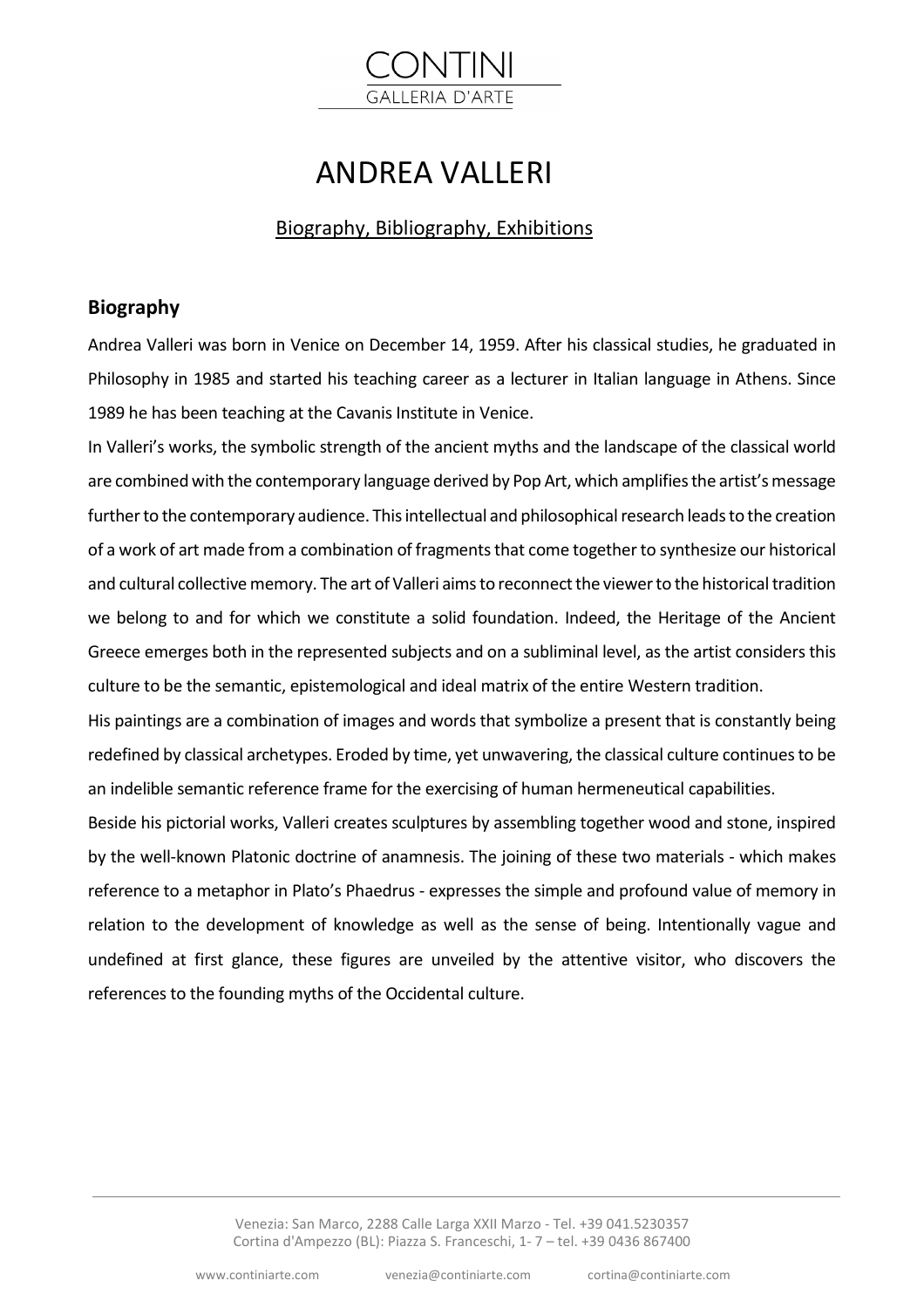# **GALLERIA D'ARTE**

## ANDREA VALLERI

#### Biography, Bibliography, Exhibitions

#### **Biography**

Andrea Valleri was born in Venice on December 14, 1959. After his classical studies, he graduated in Philosophy in 1985 and started his teaching career as a lecturer in Italian language in Athens. Since 1989 he has been teaching at the Cavanis Institute in Venice.

In Valleri's works, the symbolic strength of the ancient myths and the landscape of the classical world are combined with the contemporary language derived by Pop Art, which amplifies the artist's message further to the contemporary audience. This intellectual and philosophical research leads to the creation of a work of art made from a combination of fragments that come together to synthesize our historical and cultural collective memory. The art of Valleri aims to reconnect the viewer to the historical tradition we belong to and for which we constitute a solid foundation. Indeed, the Heritage of the Ancient Greece emerges both in the represented subjects and on a subliminal level, as the artist considers this culture to be the semantic, epistemological and ideal matrix of the entire Western tradition.

His paintings are a combination of images and words that symbolize a present that is constantly being redefined by classical archetypes. Eroded by time, yet unwavering, the classical culture continues to be an indelible semantic reference frame for the exercising of human hermeneutical capabilities.

Beside his pictorial works, Valleri creates sculptures by assembling together wood and stone, inspired by the well-known Platonic doctrine of anamnesis. The joining of these two materials - which makes reference to a metaphor in Plato's Phaedrus - expresses the simple and profound value of memory in relation to the development of knowledge as well as the sense of being. Intentionally vague and undefined at first glance, these figures are unveiled by the attentive visitor, who discovers the references to the founding myths of the Occidental culture.

> Venezia: San Marco, 2288 Calle Larga XXII Marzo - Tel. +39 041.5230357 Cortina d'Ampezzo (BL): Piazza S. Franceschi, 1- 7 – tel. +39 0436 867400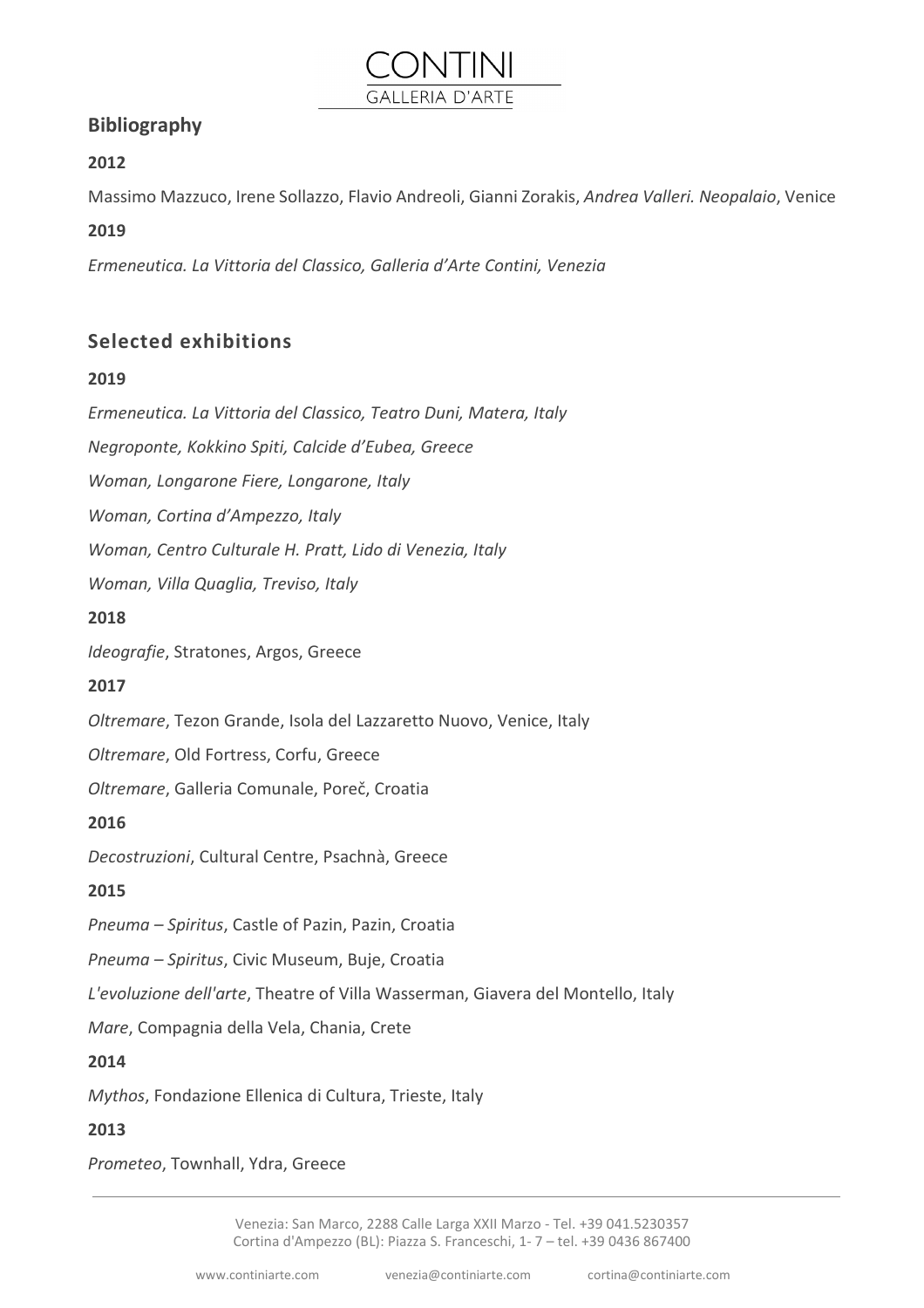### **Bibliography**

#### **2012**

Massimo Mazzuco, Irene Sollazzo, Flavio Andreoli, Gianni Zorakis, *Andrea Valleri. Neopalaio*, Venice

**GALLERIA D'ARTE** 

#### **2019**

*Ermeneutica. La Vittoria del Classico, Galleria d'Arte Contini, Venezia*

#### **Selected exhibitions**

#### **2019**

*Ermeneutica. La Vittoria del Classico, Teatro Duni, Matera, Italy*

*Negroponte, Kokkino Spiti, Calcide d'Eubea, Greece*

*Woman, Longarone Fiere, Longarone, Italy*

*Woman, Cortina d'Ampezzo, Italy*

*Woman, Centro Culturale H. Pratt, Lido di Venezia, Italy*

*Woman, Villa Quaglia, Treviso, Italy*

#### **2018**

*Ideografie*, Stratones, Argos, Greece

#### **2017**

*Oltremare*, Tezon Grande, Isola del Lazzaretto Nuovo, Venice, Italy

*Oltremare*, Old Fortress, Corfu, Greece

*Oltremare*, Galleria Comunale, Poreč, Croatia

#### **2016**

*Decostruzioni*, Cultural Centre, Psachnà, Greece

#### **2015**

*Pneuma – Spiritus*, Castle of Pazin, Pazin, Croatia

*Pneuma – Spiritus*, Civic Museum, Buje, Croatia

*L'evoluzione dell'arte*, Theatre of Villa Wasserman, Giavera del Montello, Italy

*Mare*, Compagnia della Vela, Chania, Crete

#### **2014**

*Mythos*, Fondazione Ellenica di Cultura, Trieste, Italy

#### **2013**

*Prometeo*, Townhall, Ydra, Greece

Venezia: San Marco, 2288 Calle Larga XXII Marzo - Tel. +39 041.5230357 Cortina d'Ampezzo (BL): Piazza S. Franceschi, 1- 7 – tel. +39 0436 867400